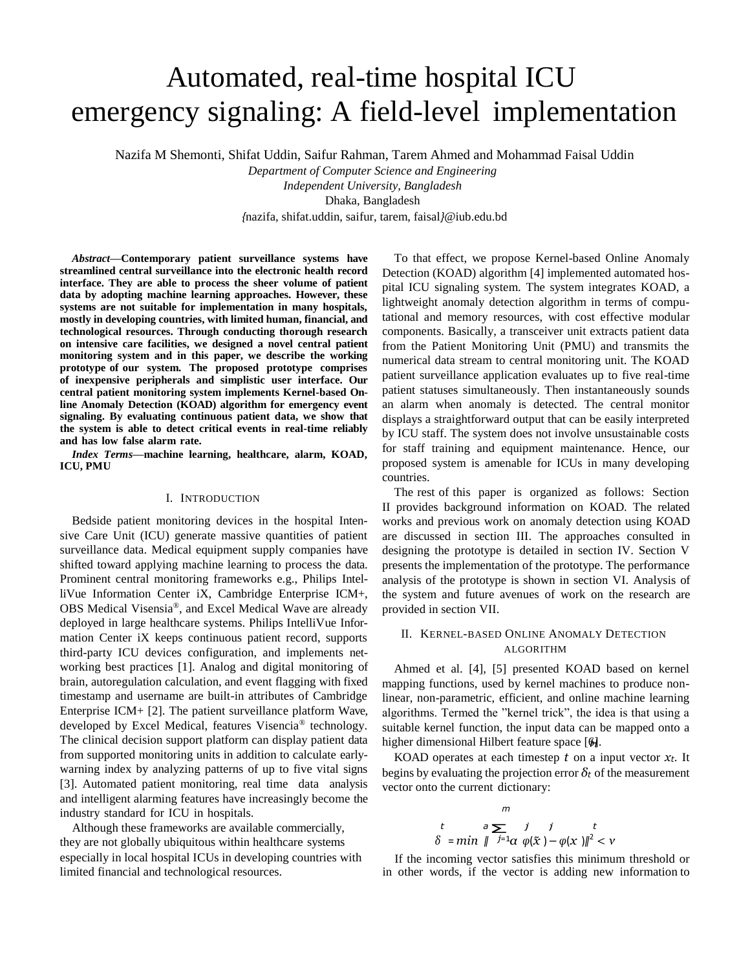# Automated, real-time hospital ICU emergency signaling: A field-level implementation

Nazifa M Shemonti, Shifat Uddin, Saifur Rahman, Tarem Ahmed and Mohammad Faisal Uddin

*Department of Computer Science and Engineering* 

*Independent University, Bangladesh*

Dhaka, Bangladesh

*{*nazifa, shifat.uddin, saifur, tarem, faisal*}*@iub.edu.bd

*Abstract***—Contemporary patient surveillance systems have streamlined central surveillance into the electronic health record interface. They are able to process the sheer volume of patient data by adopting machine learning approaches. However, these systems are not suitable for implementation in many hospitals, mostly in developing countries, with limited human, financial, and technological resources. Through conducting thorough research on intensive care facilities, we designed a novel central patient monitoring system and in this paper, we describe the working prototype of our system. The proposed prototype comprises of inexpensive peripherals and simplistic user interface. Our central patient monitoring system implements Kernel-based Online Anomaly Detection (KOAD) algorithm for emergency event signaling. By evaluating continuous patient data, we show that the system is able to detect critical events in real-time reliably and has low false alarm rate.**

*Index Terms***—machine learning, healthcare, alarm, KOAD, ICU, PMU**

### I. INTRODUCTION

Bedside patient monitoring devices in the hospital Intensive Care Unit (ICU) generate massive quantities of patient surveillance data. Medical equipment supply companies have shifted toward applying machine learning to process the data. Prominent central monitoring frameworks e.g., Philips IntelliVue Information Center iX, Cambridge Enterprise ICM+, OBS Medical Visensia®, and Excel Medical Wave are already deployed in large healthcare systems. Philips IntelliVue Information Center iX keeps continuous patient record, supports third-party ICU devices configuration, and implements networking best practices [1]. Analog and digital monitoring of brain, autoregulation calculation, and event flagging with fixed timestamp and username are built-in attributes of Cambridge Enterprise ICM+ [2]. The patient surveillance platform Wave, developed by Excel Medical, features Visencia® technology. The clinical decision support platform can display patient data from supported monitoring units in addition to calculate earlywarning index by analyzing patterns of up to five vital signs [3]. Automated patient monitoring, real time data analysis and intelligent alarming features have increasingly become the industry standard for ICU in hospitals.

especially in local hospital ICUs in developing countries with limited financial and technological resources. Although these frameworks are available commercially, they are not globally ubiquitous within healthcare systems

To that effect, we propose Kernel-based Online Anomaly Detection (KOAD) algorithm [4] implemented automated hospital ICU signaling system. The system integrates KOAD, a lightweight anomaly detection algorithm in terms of computational and memory resources, with cost effective modular components. Basically, a transceiver unit extracts patient data from the Patient Monitoring Unit (PMU) and transmits the numerical data stream to central monitoring unit. The KOAD patient surveillance application evaluates up to five real-time patient statuses simultaneously. Then instantaneously sounds an alarm when anomaly is detected. The central monitor displays a straightforward output that can be easily interpreted by ICU staff. The system does not involve unsustainable costs for staff training and equipment maintenance. Hence, our proposed system is amenable for ICUs in many developing countries.

The rest of this paper is organized as follows: Section II provides background information on KOAD. The related works and previous work on anomaly detection using KOAD are discussed in section III. The approaches consulted in designing the prototype is detailed in section IV. Section V presents the implementation of the prototype. The performance analysis of the prototype is shown in section VI. Analysis of the system and future avenues of work on the research are provided in section VII.

## II. KERNEL-BASED ONLINE ANOMALY DETECTION ALGORITHM

higher dimensional Hilbert feature space [6]. Ahmed et al. [4], [5] presented KOAD based on kernel mapping functions, used by kernel machines to produce nonlinear, non-parametric, efficient, and online machine learning algorithms. Termed the "kernel trick", the idea is that using a suitable kernel function, the input data can be mapped onto a

KOAD operates at each timestep  $t$  on a input vector  $x_t$ . It begins by evaluating the projection error  $\delta_t$  of the measurement vector onto the current dictionary:

$$
\begin{array}{ccc}\nm & & & m\\
t & a \sum_{j=1}^{\infty} & j & j & t\\
\delta = \min \ \| \ x_1^{j=1} \alpha \ \varphi(\tilde{x}) - \varphi(x) \|^2 < \nu\n\end{array}
$$

If the incoming vector satisfies this minimum threshold or in other words, if the vector is adding new information to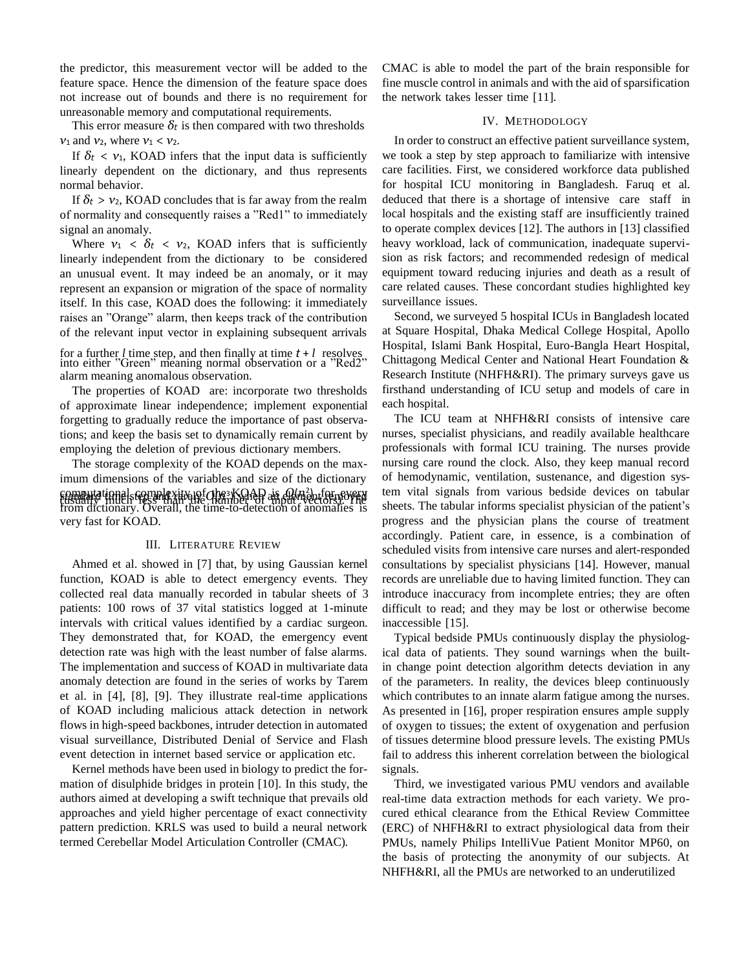the predictor, this measurement vector will be added to the feature space. Hence the dimension of the feature space does not increase out of bounds and there is no requirement for unreasonable memory and computational requirements.

This error measure  $\delta_t$  is then compared with two thresholds *ν*<sup>1</sup> and *ν*2, where *ν*<sup>1</sup> *< ν*2.

If  $\delta t$  <  $v_1$ , KOAD infers that the input data is sufficiently linearly dependent on the dictionary, and thus represents normal behavior.

If  $\delta_t$  >  $v_2$ , KOAD concludes that is far away from the realm of normality and consequently raises a "Red1" to immediately signal an anomaly.

Where  $v_1 < \delta_t < v_2$ , KOAD infers that is sufficiently linearly independent from the dictionary to be considered an unusual event. It may indeed be an anomaly, or it may represent an expansion or migration of the space of normality itself. In this case, KOAD does the following: it immediately raises an "Orange" alarm, then keeps track of the contribution of the relevant input vector in explaining subsequent arrivals

for a further *l* time step, and then finally at time  $t + l$  resolves into either "Green" meaning normal observation or a "Red2" alarm meaning anomalous observation.

The properties of KOAD are: incorporate two thresholds of approximate linear independence; implement exponential forgetting to gradually reduce the importance of past observations; and keep the basis set to dynamically remain current by employing the deletion of previous dictionary members.

The storage complexity of the KOAD depends on the maximum dimensions of the variables and size of the dictionary computational complexity of the  $KOAD$  is  $O(n^2)$ , for every<br>tusually interstrated the chamber of amput needof in  $\Gamma$  is found. very fast for KOAD.

#### III. LITERATURE REVIEW

Ahmed et al. showed in [7] that, by using Gaussian kernel function, KOAD is able to detect emergency events. They collected real data manually recorded in tabular sheets of 3 patients: 100 rows of 37 vital statistics logged at 1-minute intervals with critical values identified by a cardiac surgeon. They demonstrated that, for KOAD, the emergency event detection rate was high with the least number of false alarms. The implementation and success of KOAD in multivariate data anomaly detection are found in the series of works by Tarem et al. in [4], [8], [9]. They illustrate real-time applications of KOAD including malicious attack detection in network flows in high-speed backbones, intruder detection in automated visual surveillance, Distributed Denial of Service and Flash event detection in internet based service or application etc.

Kernel methods have been used in biology to predict the formation of disulphide bridges in protein [10]. In this study, the authors aimed at developing a swift technique that prevails old approaches and yield higher percentage of exact connectivity pattern prediction. KRLS was used to build a neural network termed Cerebellar Model Articulation Controller (CMAC).

CMAC is able to model the part of the brain responsible for fine muscle control in animals and with the aid of sparsification the network takes lesser time [11].

#### IV. METHODOLOGY

In order to construct an effective patient surveillance system, we took a step by step approach to familiarize with intensive care facilities. First, we considered workforce data published for hospital ICU monitoring in Bangladesh. Faruq et al. deduced that there is a shortage of intensive care staff in local hospitals and the existing staff are insufficiently trained to operate complex devices [12]. The authors in [13] classified heavy workload, lack of communication, inadequate supervision as risk factors; and recommended redesign of medical equipment toward reducing injuries and death as a result of care related causes. These concordant studies highlighted key surveillance issues.

Second, we surveyed 5 hospital ICUs in Bangladesh located at Square Hospital, Dhaka Medical College Hospital, Apollo Hospital, Islami Bank Hospital, Euro-Bangla Heart Hospital, Chittagong Medical Center and National Heart Foundation & Research Institute (NHFH&RI). The primary surveys gave us firsthand understanding of ICU setup and models of care in each hospital.

The ICU team at NHFH&RI consists of intensive care nurses, specialist physicians, and readily available healthcare professionals with formal ICU training. The nurses provide nursing care round the clock. Also, they keep manual record of hemodynamic, ventilation, sustenance, and digestion system vital signals from various bedside devices on tabular sheets. The tabular informs specialist physician of the patient's progress and the physician plans the course of treatment accordingly. Patient care, in essence, is a combination of scheduled visits from intensive care nurses and alert-responded consultations by specialist physicians [14]. However, manual records are unreliable due to having limited function. They can introduce inaccuracy from incomplete entries; they are often difficult to read; and they may be lost or otherwise become inaccessible [15].

Typical bedside PMUs continuously display the physiological data of patients. They sound warnings when the builtin change point detection algorithm detects deviation in any of the parameters. In reality, the devices bleep continuously which contributes to an innate alarm fatigue among the nurses. As presented in [16], proper respiration ensures ample supply of oxygen to tissues; the extent of oxygenation and perfusion of tissues determine blood pressure levels. The existing PMUs fail to address this inherent correlation between the biological signals.

Third, we investigated various PMU vendors and available real-time data extraction methods for each variety. We procured ethical clearance from the Ethical Review Committee (ERC) of NHFH&RI to extract physiological data from their PMUs, namely Philips IntelliVue Patient Monitor MP60, on the basis of protecting the anonymity of our subjects. At NHFH&RI, all the PMUs are networked to an underutilized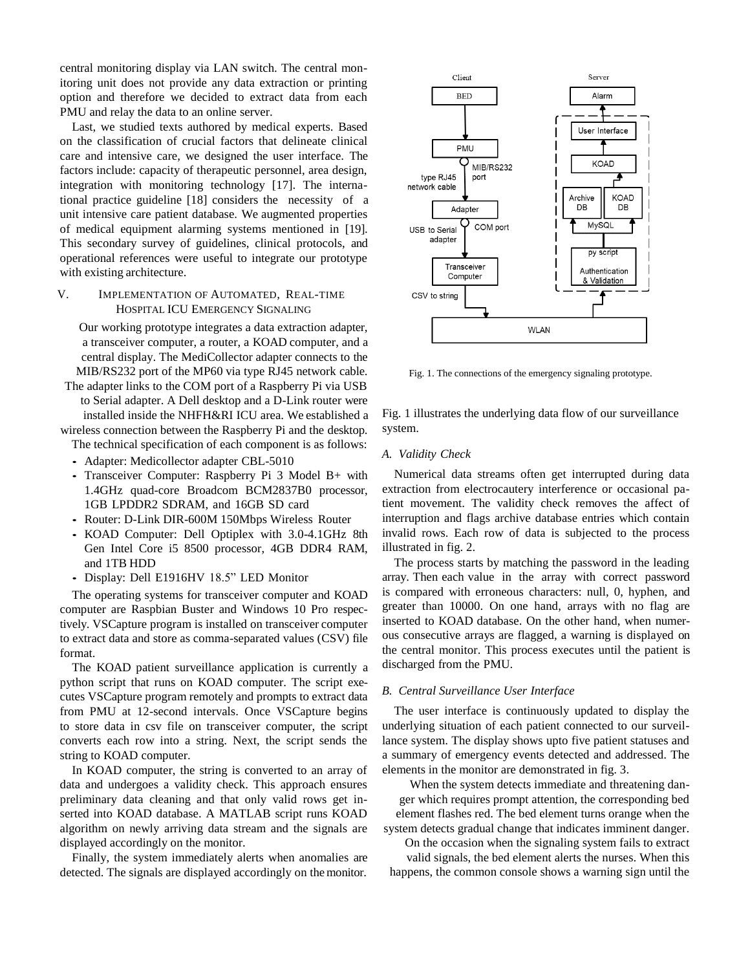central monitoring display via LAN switch. The central monitoring unit does not provide any data extraction or printing option and therefore we decided to extract data from each PMU and relay the data to an online server.

Last, we studied texts authored by medical experts. Based on the classification of crucial factors that delineate clinical care and intensive care, we designed the user interface. The factors include: capacity of therapeutic personnel, area design, integration with monitoring technology [17]. The international practice guideline [18] considers the necessity of a unit intensive care patient database. We augmented properties of medical equipment alarming systems mentioned in [19]. This secondary survey of guidelines, clinical protocols, and operational references were useful to integrate our prototype with existing architecture.

## V. IMPLEMENTATION OF AUTOMATED, REAL-TIME HOSPITAL ICU EMERGENCY SIGNALING

Our working prototype integrates a data extraction adapter, a transceiver computer, a router, a KOAD computer, and a central display. The MediCollector adapter connects to the MIB/RS232 port of the MP60 via type RJ45 network cable.

The adapter links to the COM port of a Raspberry Pi via USB to Serial adapter. A Dell desktop and a D-Link router were installed inside the NHFH&RI ICU area. We established a wireless connection between the Raspberry Pi and the desktop.

The technical specification of each component is as follows: *•* Adapter: Medicollector adapter CBL-5010

- *•* Transceiver Computer: Raspberry Pi 3 Model B+ with 1.4GHz quad-core Broadcom BCM2837B0 processor, 1GB LPDDR2 SDRAM, and 16GB SD card
- *•* Router: D-Link DIR-600M 150Mbps Wireless Router
- *•* KOAD Computer: Dell Optiplex with 3.0-4.1GHz 8th Gen Intel Core i5 8500 processor, 4GB DDR4 RAM, and 1TB HDD
- *•* Display: Dell E1916HV 18.5" LED Monitor

The operating systems for transceiver computer and KOAD computer are Raspbian Buster and Windows 10 Pro respectively. VSCapture program is installed on transceiver computer to extract data and store as comma-separated values (CSV) file format.

The KOAD patient surveillance application is currently a python script that runs on KOAD computer. The script executes VSCapture program remotely and prompts to extract data from PMU at 12-second intervals. Once VSCapture begins to store data in csv file on transceiver computer, the script converts each row into a string. Next, the script sends the string to KOAD computer.

In KOAD computer, the string is converted to an array of data and undergoes a validity check. This approach ensures preliminary data cleaning and that only valid rows get inserted into KOAD database. A MATLAB script runs KOAD algorithm on newly arriving data stream and the signals are displayed accordingly on the monitor.

Finally, the system immediately alerts when anomalies are detected. The signals are displayed accordingly on themonitor.



Fig. 1. The connections of the emergency signaling prototype.

Fig. 1 illustrates the underlying data flow of our surveillance system.

#### *A. Validity Check*

Numerical data streams often get interrupted during data extraction from electrocautery interference or occasional patient movement. The validity check removes the affect of interruption and flags archive database entries which contain invalid rows. Each row of data is subjected to the process illustrated in fig. 2.

The process starts by matching the password in the leading array. Then each value in the array with correct password is compared with erroneous characters: null, 0, hyphen, and greater than 10000. On one hand, arrays with no flag are inserted to KOAD database. On the other hand, when numerous consecutive arrays are flagged, a warning is displayed on the central monitor. This process executes until the patient is discharged from the PMU.

#### *B. Central Surveillance User Interface*

The user interface is continuously updated to display the underlying situation of each patient connected to our surveillance system. The display shows upto five patient statuses and a summary of emergency events detected and addressed. The elements in the monitor are demonstrated in fig. 3.

When the system detects immediate and threatening danger which requires prompt attention, the corresponding bed element flashes red. The bed element turns orange when the system detects gradual change that indicates imminent danger.

On the occasion when the signaling system fails to extract valid signals, the bed element alerts the nurses. When this happens, the common console shows a warning sign until the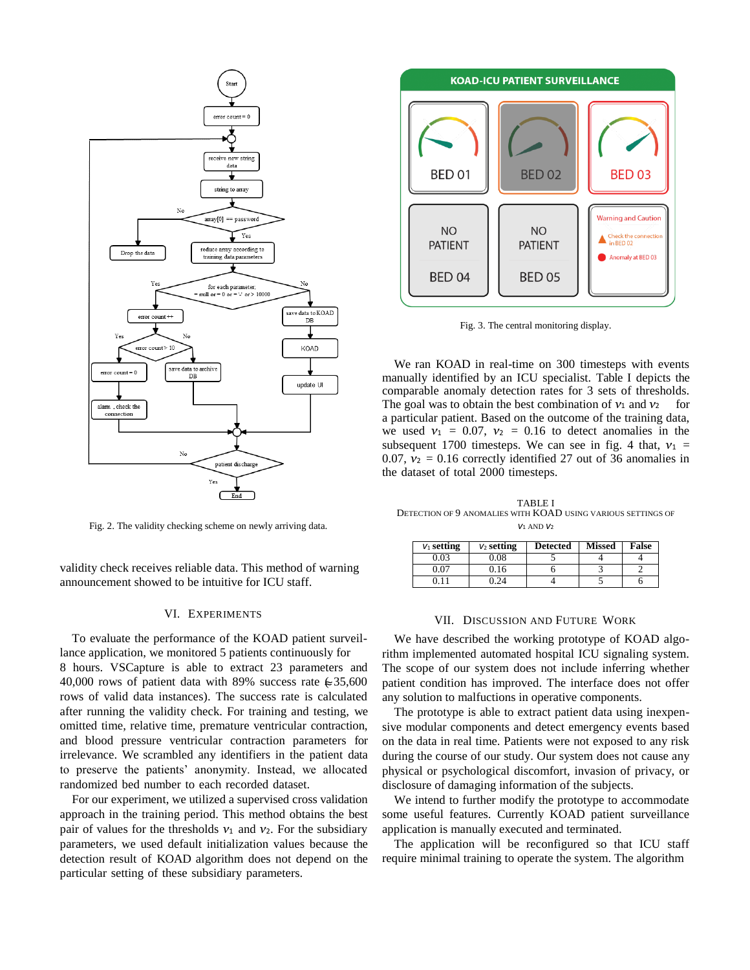

Fig. 2. The validity checking scheme on newly arriving data.

validity check receives reliable data. This method of warning announcement showed to be intuitive for ICU staff.

## VI. EXPERIMENTS

40,000 rows of patient data with 89% success rate  $\in$  35,600 To evaluate the performance of the KOAD patient surveillance application, we monitored 5 patients continuously for 8 hours. VSCapture is able to extract 23 parameters and rows of valid data instances). The success rate is calculated after running the validity check. For training and testing, we omitted time, relative time, premature ventricular contraction, and blood pressure ventricular contraction parameters for irrelevance. We scrambled any identifiers in the patient data to preserve the patients' anonymity. Instead, we allocated randomized bed number to each recorded dataset.

For our experiment, we utilized a supervised cross validation approach in the training period. This method obtains the best pair of values for the thresholds  $v_1$  and  $v_2$ . For the subsidiary parameters, we used default initialization values because the detection result of KOAD algorithm does not depend on the particular setting of these subsidiary parameters.



Fig. 3. The central monitoring display.

We ran KOAD in real-time on 300 timesteps with events manually identified by an ICU specialist. Table I depicts the comparable anomaly detection rates for 3 sets of thresholds. The goal was to obtain the best combination of  $v_1$  and  $v_2$  for a particular patient. Based on the outcome of the training data, we used  $v_1 = 0.07$ ,  $v_2 = 0.16$  to detect anomalies in the subsequent 1700 timesteps. We can see in fig. 4 that,  $v_1$  = 0.07,  $v_2$  = 0.16 correctly identified 27 out of 36 anomalies in the dataset of total 2000 timesteps.

TABLE I DETECTION OF 9 ANOMALIES WITH KOAD USING VARIOUS SETTINGS OF *ν*<sup>1</sup> AND *ν*<sup>2</sup>

| $V_1$ setting | $V_2$ setting | <b>Detected</b> | <b>Missed</b> | False |
|---------------|---------------|-----------------|---------------|-------|
| 0.03          | 0.08          |                 |               |       |
| 0.07          | 9.16          |                 |               |       |
|               |               |                 |               |       |

#### VII. DISCUSSION AND FUTURE WORK

We have described the working prototype of KOAD algorithm implemented automated hospital ICU signaling system. The scope of our system does not include inferring whether patient condition has improved. The interface does not offer any solution to malfuctions in operative components.

The prototype is able to extract patient data using inexpensive modular components and detect emergency events based on the data in real time. Patients were not exposed to any risk during the course of our study. Our system does not cause any physical or psychological discomfort, invasion of privacy, or disclosure of damaging information of the subjects.

We intend to further modify the prototype to accommodate some useful features. Currently KOAD patient surveillance application is manually executed and terminated.

The application will be reconfigured so that ICU staff require minimal training to operate the system. The algorithm